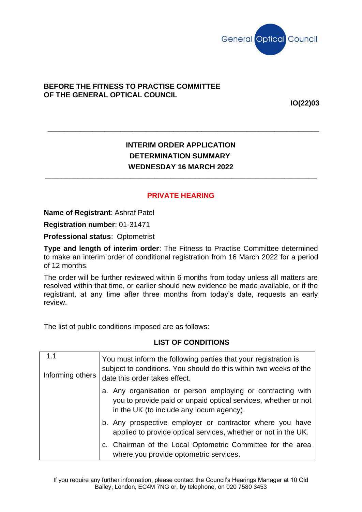

## **BEFORE THE FITNESS TO PRACTISE COMMITTEE OF THE GENERAL OPTICAL COUNCIL**

**IO(22)03**

## **INTERIM ORDER APPLICATION DETERMINATION SUMMARY WEDNESDAY 16 MARCH 2022 \_\_\_\_\_\_\_\_\_\_\_\_\_\_\_\_\_\_\_\_\_\_\_\_\_\_\_\_\_\_\_\_\_\_\_\_\_\_\_\_\_\_\_\_\_\_\_\_\_\_\_\_\_\_\_\_\_\_\_\_\_\_\_\_\_\_\_**

**\_\_\_\_\_\_\_\_\_\_\_\_\_\_\_\_\_\_\_\_\_\_\_\_\_\_\_\_\_\_\_\_\_\_\_\_\_\_\_\_\_\_\_\_\_\_\_\_\_\_\_\_\_\_\_\_\_\_\_\_\_\_\_\_\_\_\_**

## **PRIVATE HEARING**

**Name of Registrant**: Ashraf Patel

**Registration number**: 01-31471

**Professional status**: Optometrist

**Type and length of interim order**: The Fitness to Practise Committee determined to make an interim order of conditional registration from 16 March 2022 for a period of 12 months.

The order will be further reviewed within 6 months from today unless all matters are resolved within that time, or earlier should new evidence be made available, or if the registrant, at any time after three months from today's date, requests an early review.

The list of public conditions imposed are as follows:

## **LIST OF CONDITIONS**

| 1.1<br>Informing others | You must inform the following parties that your registration is<br>subject to conditions. You should do this within two weeks of the<br>date this order takes effect.     |
|-------------------------|---------------------------------------------------------------------------------------------------------------------------------------------------------------------------|
|                         | a. Any organisation or person employing or contracting with<br>you to provide paid or unpaid optical services, whether or not<br>in the UK (to include any locum agency). |
|                         | b. Any prospective employer or contractor where you have<br>applied to provide optical services, whether or not in the UK.                                                |
|                         | c. Chairman of the Local Optometric Committee for the area<br>where you provide optometric services.                                                                      |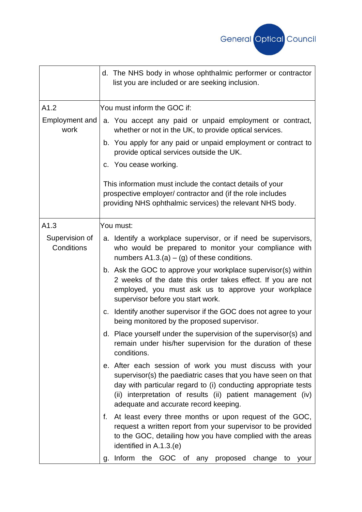

|                               | d. The NHS body in whose ophthalmic performer or contractor<br>list you are included or are seeking inclusion.                                                                                                                                                                                      |
|-------------------------------|-----------------------------------------------------------------------------------------------------------------------------------------------------------------------------------------------------------------------------------------------------------------------------------------------------|
| A1.2                          | You must inform the GOC if:                                                                                                                                                                                                                                                                         |
| <b>Employment and</b><br>work | a. You accept any paid or unpaid employment or contract,<br>whether or not in the UK, to provide optical services.                                                                                                                                                                                  |
|                               | b. You apply for any paid or unpaid employment or contract to<br>provide optical services outside the UK.                                                                                                                                                                                           |
|                               | c. You cease working.                                                                                                                                                                                                                                                                               |
|                               | This information must include the contact details of your<br>prospective employer/ contractor and (if the role includes<br>providing NHS ophthalmic services) the relevant NHS body.                                                                                                                |
| A1.3                          | You must:                                                                                                                                                                                                                                                                                           |
| Supervision of<br>Conditions  | a. Identify a workplace supervisor, or if need be supervisors,<br>who would be prepared to monitor your compliance with<br>numbers $A1.3.(a) - (g)$ of these conditions.                                                                                                                            |
|                               | b. Ask the GOC to approve your workplace supervisor(s) within<br>2 weeks of the date this order takes effect. If you are not<br>employed, you must ask us to approve your workplace<br>supervisor before you start work.                                                                            |
|                               | Identify another supervisor if the GOC does not agree to your<br>C.<br>being monitored by the proposed supervisor.                                                                                                                                                                                  |
|                               | d. Place yourself under the supervision of the supervisor(s) and<br>remain under his/her supervision for the duration of these<br>conditions.                                                                                                                                                       |
|                               | e. After each session of work you must discuss with your<br>supervisor(s) the paediatric cases that you have seen on that<br>day with particular regard to (i) conducting appropriate tests<br>(ii) interpretation of results (ii) patient management (iv)<br>adequate and accurate record keeping. |
|                               | At least every three months or upon request of the GOC,<br>f.<br>request a written report from your supervisor to be provided<br>to the GOC, detailing how you have complied with the areas<br>identified in A.1.3.(e)                                                                              |
|                               | g. Inform the GOC of any proposed change to<br>your                                                                                                                                                                                                                                                 |